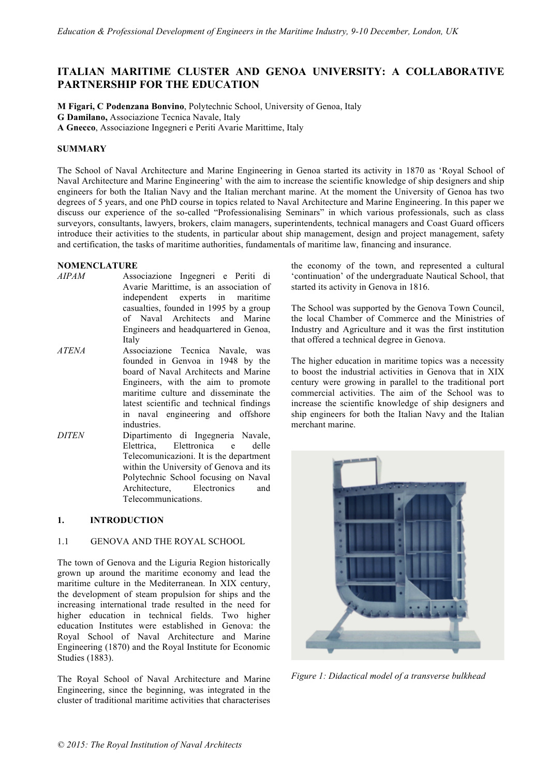# **ITALIAN MARITIME CLUSTER AND GENOA UNIVERSITY: A COLLABORATIVE PARTNERSHIP FOR THE EDUCATION**

**M Figari, C Podenzana Bonvino**, Polytechnic School, University of Genoa, Italy **G Damilano,** Associazione Tecnica Navale, Italy

**A Gnecco**, Associazione Ingegneri e Periti Avarie Marittime, Italy

## **SUMMARY**

The School of Naval Architecture and Marine Engineering in Genoa started its activity in 1870 as 'Royal School of Naval Architecture and Marine Engineering' with the aim to increase the scientific knowledge of ship designers and ship engineers for both the Italian Navy and the Italian merchant marine. At the moment the University of Genoa has two degrees of 5 years, and one PhD course in topics related to Naval Architecture and Marine Engineering. In this paper we discuss our experience of the so-called "Professionalising Seminars" in which various professionals, such as class surveyors, consultants, lawyers, brokers, claim managers, superintendents, technical managers and Coast Guard officers introduce their activities to the students, in particular about ship management, design and project management, safety and certification, the tasks of maritime authorities, fundamentals of maritime law, financing and insurance.

## **NOMENCLATURE**

- *AIPAM* Associazione Ingegneri e Periti di Avarie Marittime, is an association of independent experts in maritime casualties, founded in 1995 by a group of Naval Architects and Marine Engineers and headquartered in Genoa, Italy
- *ATENA* Associazione Tecnica Navale, was founded in Genvoa in 1948 by the board of Naval Architects and Marine Engineers, with the aim to promote maritime culture and disseminate the latest scientific and technical findings in naval engineering and offshore industries.
- *DITEN* Dipartimento di Ingegneria Navale, Elettrica, Elettronica e delle Telecomunicazioni. It is the department within the University of Genova and its Polytechnic School focusing on Naval Architecture, Electronics and Telecommunications.

## **1. INTRODUCTION**

### 1.1 GENOVA AND THE ROYAL SCHOOL

The town of Genova and the Liguria Region historically grown up around the maritime economy and lead the maritime culture in the Mediterranean. In XIX century, the development of steam propulsion for ships and the increasing international trade resulted in the need for higher education in technical fields. Two higher education Institutes were established in Genova: the Royal School of Naval Architecture and Marine Engineering (1870) and the Royal Institute for Economic Studies (1883).

The Royal School of Naval Architecture and Marine Engineering, since the beginning, was integrated in the cluster of traditional maritime activities that characterises

the economy of the town, and represented a cultural 'continuation' of the undergraduate Nautical School, that started its activity in Genova in 1816.

The School was supported by the Genova Town Council, the local Chamber of Commerce and the Ministries of Industry and Agriculture and it was the first institution that offered a technical degree in Genova.

The higher education in maritime topics was a necessity to boost the industrial activities in Genova that in XIX century were growing in parallel to the traditional port commercial activities. The aim of the School was to increase the scientific knowledge of ship designers and ship engineers for both the Italian Navy and the Italian merchant marine.



*Figure 1: Didactical model of a transverse bulkhead*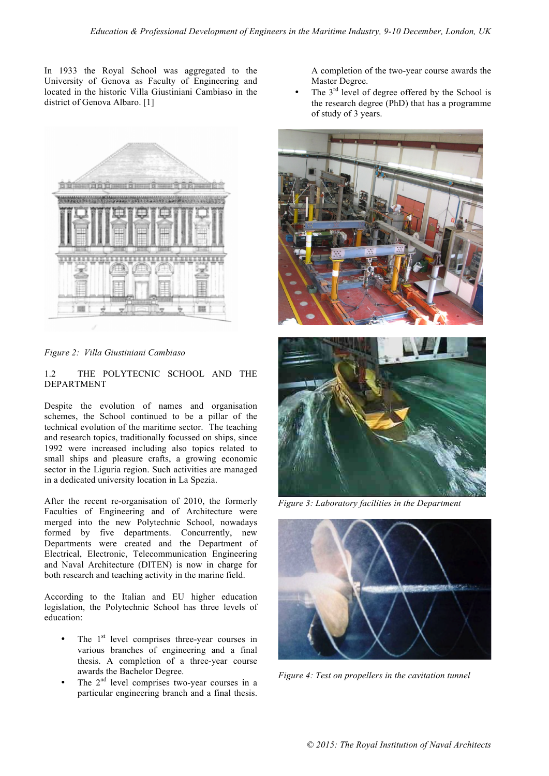In 1933 the Royal School was aggregated to the University of Genova as Faculty of Engineering and located in the historic Villa Giustiniani Cambiaso in the district of Genova Albaro. [1]



*Figure 2: Villa Giustiniani Cambiaso* 

1.2 THE POLYTECNIC SCHOOL AND THE DEPARTMENT

Despite the evolution of names and organisation schemes, the School continued to be a pillar of the technical evolution of the maritime sector. The teaching and research topics, traditionally focussed on ships, since 1992 were increased including also topics related to small ships and pleasure crafts, a growing economic sector in the Liguria region. Such activities are managed in a dedicated university location in La Spezia.

After the recent re-organisation of 2010, the formerly Faculties of Engineering and of Architecture were merged into the new Polytechnic School, nowadays formed by five departments. Concurrently, new Departments were created and the Department of Electrical, Electronic, Telecommunication Engineering and Naval Architecture (DITEN) is now in charge for both research and teaching activity in the marine field.

According to the Italian and EU higher education legislation, the Polytechnic School has three levels of education:

- The 1<sup>st</sup> level comprises three-year courses in various branches of engineering and a final thesis. A completion of a three-year course awards the Bachelor Degree.
- The  $2^{nd}$  level comprises two-year courses in a particular engineering branch and a final thesis.

A completion of the two-year course awards the Master Degree.

The  $3<sup>rd</sup>$  level of degree offered by the School is the research degree (PhD) that has a programme of study of 3 years.





*Figure 3: Laboratory facilities in the Department*



*Figure 4: Test on propellers in the cavitation tunnel*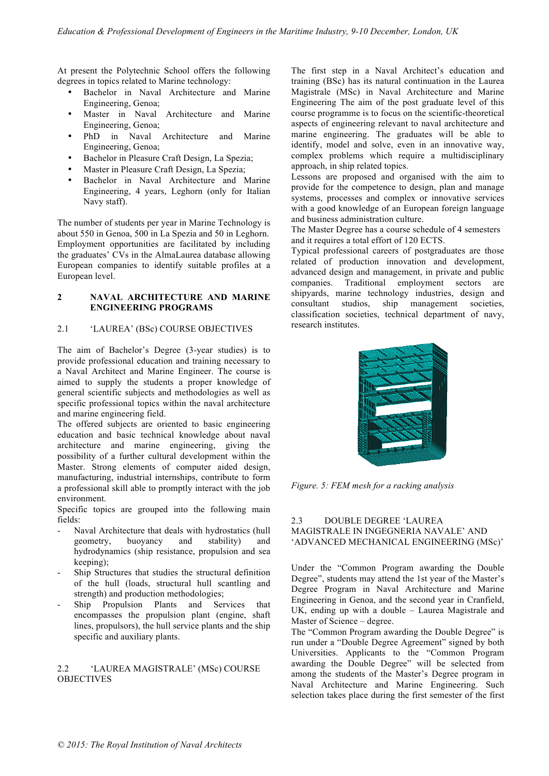At present the Polytechnic School offers the following degrees in topics related to Marine technology:

- Bachelor in Naval Architecture and Marine Engineering, Genoa;
- Master in Naval Architecture and Marine Engineering, Genoa;
- PhD in Naval Architecture and Marine Engineering, Genoa;
- Bachelor in Pleasure Craft Design, La Spezia;
- Master in Pleasure Craft Design, La Spezia;
- Bachelor in Naval Architecture and Marine Engineering, 4 years, Leghorn (only for Italian Navy staff).

The number of students per year in Marine Technology is about 550 in Genoa, 500 in La Spezia and 50 in Leghorn. Employment opportunities are facilitated by including the graduates' CVs in the AlmaLaurea database allowing European companies to identify suitable profiles at a European level.

### **2 NAVAL ARCHITECTURE AND MARINE ENGINEERING PROGRAMS**

## 2.1 'LAUREA' (BSc) COURSE OBJECTIVES

The aim of Bachelor's Degree (3-year studies) is to provide professional education and training necessary to a Naval Architect and Marine Engineer. The course is aimed to supply the students a proper knowledge of general scientific subjects and methodologies as well as specific professional topics within the naval architecture and marine engineering field.

The offered subjects are oriented to basic engineering education and basic technical knowledge about naval architecture and marine engineering, giving the possibility of a further cultural development within the Master. Strong elements of computer aided design, manufacturing, industrial internships, contribute to form a professional skill able to promptly interact with the job environment.

Specific topics are grouped into the following main fields:

- Naval Architecture that deals with hydrostatics (hull geometry, buoyancy and stability) and hydrodynamics (ship resistance, propulsion and sea keeping);
- Ship Structures that studies the structural definition of the hull (loads, structural hull scantling and strength) and production methodologies;
- Ship Propulsion Plants and Services that encompasses the propulsion plant (engine, shaft lines, propulsors), the hull service plants and the ship specific and auxiliary plants.

## 2.2 'LAUREA MAGISTRALE' (MSc) COURSE OBJECTIVES

The first step in a Naval Architect's education and training (BSc) has its natural continuation in the Laurea Magistrale (MSc) in Naval Architecture and Marine Engineering The aim of the post graduate level of this course programme is to focus on the scientific-theoretical aspects of engineering relevant to naval architecture and marine engineering. The graduates will be able to identify, model and solve, even in an innovative way, complex problems which require a multidisciplinary approach, in ship related topics.

Lessons are proposed and organised with the aim to provide for the competence to design, plan and manage systems, processes and complex or innovative services with a good knowledge of an European foreign language and business administration culture.

The Master Degree has a course schedule of 4 semesters and it requires a total effort of 120 ECTS.

Typical professional careers of postgraduates are those related of production innovation and development, advanced design and management, in private and public companies. Traditional employment sectors are shipyards, marine technology industries, design and consultant studios, ship management societies, classification societies, technical department of navy, research institutes.



*Figure. 5: FEM mesh for a racking analysis*

## 2.3 DOUBLE DEGREE 'LAUREA MAGISTRALE IN INGEGNERIA NAVALE' AND 'ADVANCED MECHANICAL ENGINEERING (MSc)'

Under the "Common Program awarding the Double Degree", students may attend the 1st year of the Master's Degree Program in Naval Architecture and Marine Engineering in Genoa, and the second year in Cranfield, UK, ending up with a double – Laurea Magistrale and Master of Science – degree.

The "Common Program awarding the Double Degree" is run under a "Double Degree Agreement" signed by both Universities. Applicants to the "Common Program awarding the Double Degree" will be selected from among the students of the Master's Degree program in Naval Architecture and Marine Engineering. Such selection takes place during the first semester of the first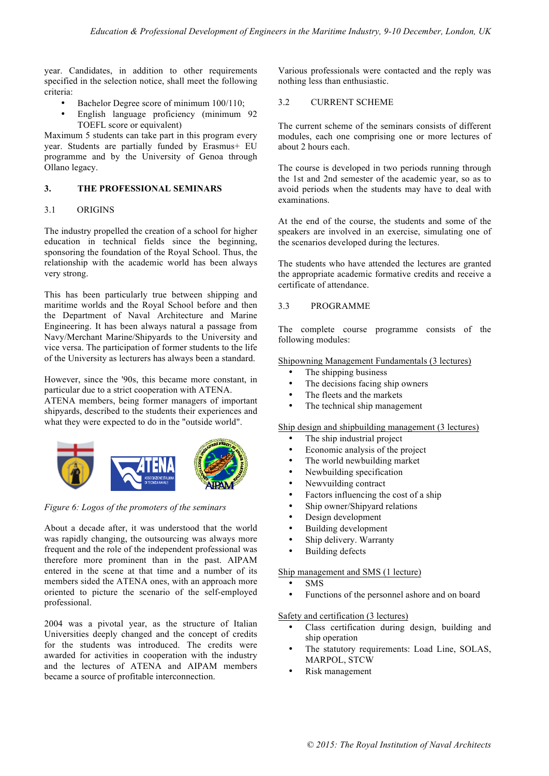year. Candidates, in addition to other requirements specified in the selection notice, shall meet the following criteria:

- Bachelor Degree score of minimum  $100/110$ ;
- English language proficiency (minimum 92 TOEFL score or equivalent)

Maximum 5 students can take part in this program every year. Students are partially funded by Erasmus+ EU programme and by the University of Genoa through Ollano legacy.

### **3. THE PROFESSIONAL SEMINARS**

#### 3.1 ORIGINS

The industry propelled the creation of a school for higher education in technical fields since the beginning, sponsoring the foundation of the Royal School. Thus, the relationship with the academic world has been always very strong.

This has been particularly true between shipping and maritime worlds and the Royal School before and then the Department of Naval Architecture and Marine Engineering. It has been always natural a passage from Navy/Merchant Marine/Shipyards to the University and vice versa. The participation of former students to the life of the University as lecturers has always been a standard.

However, since the '90s, this became more constant, in particular due to a strict cooperation with ATENA. ATENA members, being former managers of important shipyards, described to the students their experiences and what they were expected to do in the "outside world".



*Figure 6: Logos of the promoters of the seminars*

About a decade after, it was understood that the world was rapidly changing, the outsourcing was always more frequent and the role of the independent professional was therefore more prominent than in the past. AIPAM entered in the scene at that time and a number of its members sided the ATENA ones, with an approach more oriented to picture the scenario of the self-employed professional.

2004 was a pivotal year, as the structure of Italian Universities deeply changed and the concept of credits for the students was introduced. The credits were awarded for activities in cooperation with the industry and the lectures of ATENA and AIPAM members became a source of profitable interconnection.

Various professionals were contacted and the reply was nothing less than enthusiastic.

#### 3.2 CURRENT SCHEME

The current scheme of the seminars consists of different modules, each one comprising one or more lectures of about 2 hours each.

The course is developed in two periods running through the 1st and 2nd semester of the academic year, so as to avoid periods when the students may have to deal with examinations.

At the end of the course, the students and some of the speakers are involved in an exercise, simulating one of the scenarios developed during the lectures.

The students who have attended the lectures are granted the appropriate academic formative credits and receive a certificate of attendance.

#### 3.3 PROGRAMME

The complete course programme consists of the following modules:

Shipowning Management Fundamentals (3 lectures)

- The shipping business
- The decisions facing ship owners
- The fleets and the markets
- The technical ship management

Ship design and shipbuilding management (3 lectures)

- The ship industrial project
- Economic analysis of the project<br>• The world newbuilding market
- The world newbuilding market
- Newbuilding specification
- Newvuilding contract
- Factors influencing the cost of a ship
- Ship owner/Shipyard relations
- Design development<br>• Building development
- Building development
- Ship delivery. Warranty
- **Building defects**

#### Ship management and SMS (1 lecture)

- SMS
- Functions of the personnel ashore and on board

## Safety and certification (3 lectures)

- Class certification during design, building and ship operation
- The statutory requirements: Load Line, SOLAS, MARPOL, STCW
- Risk management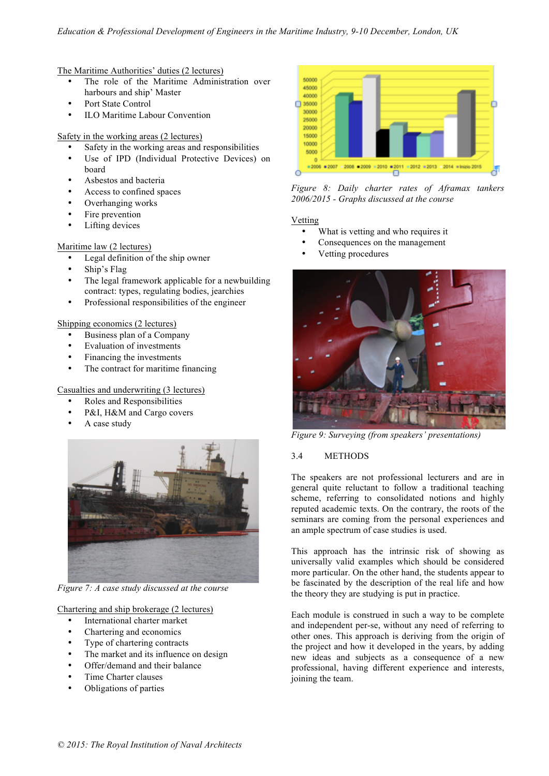## The Maritime Authorities' duties (2 lectures)

- The role of the Maritime Administration over harbours and ship' Master
- Port State Control
- ILO Maritime Labour Convention

## Safety in the working areas (2 lectures)

- Safety in the working areas and responsibilities
- Use of IPD (Individual Protective Devices) on board
- Asbestos and bacteria
- Access to confined spaces
- Overhanging works
- Fire prevention
- Lifting devices

## Maritime law (2 lectures)

- Legal definition of the ship owner
- Ship's Flag
- The legal framework applicable for a newbuilding contract: types, regulating bodies, jearchies
- Professional responsibilities of the engineer

## Shipping economics (2 lectures)

- Business plan of a Company
- Evaluation of investments
- Financing the investments
- The contract for maritime financing

## Casualties and underwriting (3 lectures)

- Roles and Responsibilities
- P&I, H&M and Cargo covers
- A case study



*Figure 7: A case study discussed at the course*

Chartering and ship brokerage (2 lectures)

- International charter market
- Chartering and economics
- Type of chartering contracts
- The market and its influence on design
- Offer/demand and their balance
- Time Charter clauses
- Obligations of parties



*Figure 8: Daily charter rates of Aframax tankers 2006/2015 - Graphs discussed at the course*

## Vetting

- What is vetting and who requires it
- Consequences on the management
- Vetting procedures



*Figure 9: Surveying (from speakers' presentations)*

## 3.4 METHODS

The speakers are not professional lecturers and are in general quite reluctant to follow a traditional teaching scheme, referring to consolidated notions and highly reputed academic texts. On the contrary, the roots of the seminars are coming from the personal experiences and an ample spectrum of case studies is used.

This approach has the intrinsic risk of showing as universally valid examples which should be considered more particular. On the other hand, the students appear to be fascinated by the description of the real life and how the theory they are studying is put in practice.

Each module is construed in such a way to be complete and independent per-se, without any need of referring to other ones. This approach is deriving from the origin of the project and how it developed in the years, by adding new ideas and subjects as a consequence of a new professional, having different experience and interests, joining the team.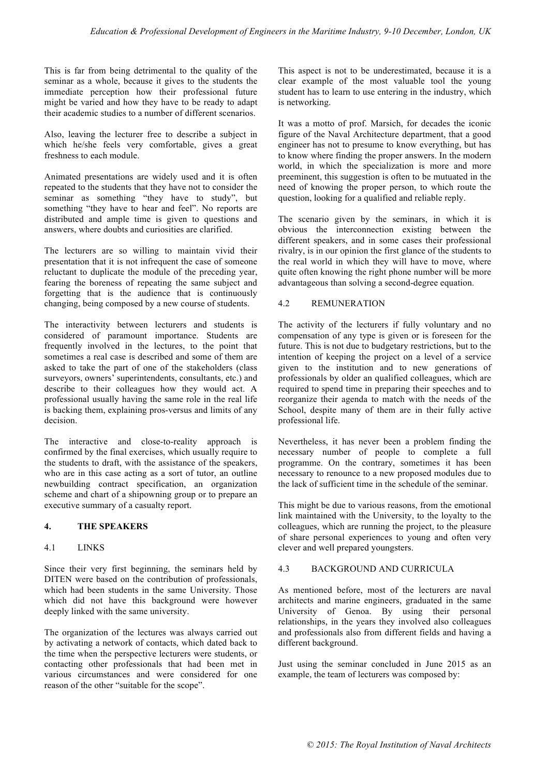This is far from being detrimental to the quality of the seminar as a whole, because it gives to the students the immediate perception how their professional future might be varied and how they have to be ready to adapt their academic studies to a number of different scenarios.

Also, leaving the lecturer free to describe a subject in which he/she feels very comfortable, gives a great freshness to each module.

Animated presentations are widely used and it is often repeated to the students that they have not to consider the seminar as something "they have to study", but something "they have to hear and feel". No reports are distributed and ample time is given to questions and answers, where doubts and curiosities are clarified.

The lecturers are so willing to maintain vivid their presentation that it is not infrequent the case of someone reluctant to duplicate the module of the preceding year, fearing the boreness of repeating the same subject and forgetting that is the audience that is continuously changing, being composed by a new course of students.

The interactivity between lecturers and students is considered of paramount importance. Students are frequently involved in the lectures, to the point that sometimes a real case is described and some of them are asked to take the part of one of the stakeholders (class surveyors, owners' superintendents, consultants, etc.) and describe to their colleagues how they would act. A professional usually having the same role in the real life is backing them, explaining pros-versus and limits of any decision.

The interactive and close-to-reality approach is confirmed by the final exercises, which usually require to the students to draft, with the assistance of the speakers, who are in this case acting as a sort of tutor, an outline newbuilding contract specification, an organization scheme and chart of a shipowning group or to prepare an executive summary of a casualty report.

## **4. THE SPEAKERS**

#### 4.1 LINKS

Since their very first beginning, the seminars held by DITEN were based on the contribution of professionals, which had been students in the same University. Those which did not have this background were however deeply linked with the same university.

The organization of the lectures was always carried out by activating a network of contacts, which dated back to the time when the perspective lecturers were students, or contacting other professionals that had been met in various circumstances and were considered for one reason of the other "suitable for the scope".

This aspect is not to be underestimated, because it is a clear example of the most valuable tool the young student has to learn to use entering in the industry, which is networking.

It was a motto of prof. Marsich, for decades the iconic figure of the Naval Architecture department, that a good engineer has not to presume to know everything, but has to know where finding the proper answers. In the modern world, in which the specialization is more and more preeminent, this suggestion is often to be mutuated in the need of knowing the proper person, to which route the question, looking for a qualified and reliable reply.

The scenario given by the seminars, in which it is obvious the interconnection existing between the different speakers, and in some cases their professional rivalry, is in our opinion the first glance of the students to the real world in which they will have to move, where quite often knowing the right phone number will be more advantageous than solving a second-degree equation.

## 4.2 REMUNERATION

The activity of the lecturers if fully voluntary and no compensation of any type is given or is foreseen for the future. This is not due to budgetary restrictions, but to the intention of keeping the project on a level of a service given to the institution and to new generations of professionals by older an qualified colleagues, which are required to spend time in preparing their speeches and to reorganize their agenda to match with the needs of the School, despite many of them are in their fully active professional life.

Nevertheless, it has never been a problem finding the necessary number of people to complete a full programme. On the contrary, sometimes it has been necessary to renounce to a new proposed modules due to the lack of sufficient time in the schedule of the seminar.

This might be due to various reasons, from the emotional link maintained with the University, to the loyalty to the colleagues, which are running the project, to the pleasure of share personal experiences to young and often very clever and well prepared youngsters.

## 4.3 BACKGROUND AND CURRICULA

As mentioned before, most of the lecturers are naval architects and marine engineers, graduated in the same University of Genoa. By using their personal relationships, in the years they involved also colleagues and professionals also from different fields and having a different background.

Just using the seminar concluded in June 2015 as an example, the team of lecturers was composed by: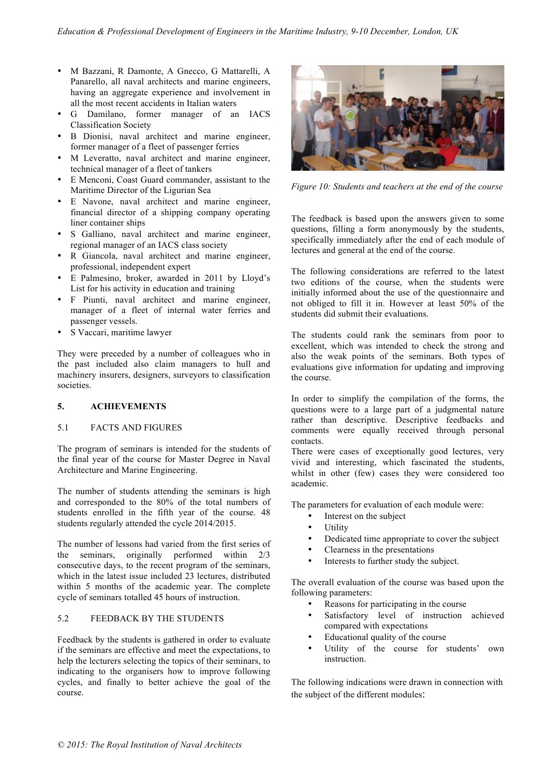- M Bazzani, R Damonte, A Gnecco, G Mattarelli, A Panarello, all naval architects and marine engineers, having an aggregate experience and involvement in all the most recent accidents in Italian waters
- G Damilano, former manager of an IACS Classification Society
- B Dionisi, naval architect and marine engineer, former manager of a fleet of passenger ferries
- M Leveratto, naval architect and marine engineer, technical manager of a fleet of tankers
- E Menconi, Coast Guard commander, assistant to the Maritime Director of the Ligurian Sea
- E Navone, naval architect and marine engineer, financial director of a shipping company operating liner container ships
- S Galliano, naval architect and marine engineer, regional manager of an IACS class society
- R Giancola, naval architect and marine engineer, professional, independent expert
- E Palmesino, broker, awarded in 2011 by Lloyd's List for his activity in education and training
- F Piunti, naval architect and marine engineer, manager of a fleet of internal water ferries and passenger vessels.
- S Vaccari, maritime lawyer

They were preceded by a number of colleagues who in the past included also claim managers to hull and machinery insurers, designers, surveyors to classification societies.

## **5. ACHIEVEMENTS**

## 5.1 FACTS AND FIGURES

The program of seminars is intended for the students of the final year of the course for Master Degree in Naval Architecture and Marine Engineering.

The number of students attending the seminars is high and corresponded to the 80% of the total numbers of students enrolled in the fifth year of the course. 48 students regularly attended the cycle 2014/2015.

The number of lessons had varied from the first series of the seminars, originally performed within 2/3 consecutive days, to the recent program of the seminars, which in the latest issue included 23 lectures, distributed within 5 months of the academic year. The complete cycle of seminars totalled 45 hours of instruction.

## 5.2 FEEDBACK BY THE STUDENTS

Feedback by the students is gathered in order to evaluate if the seminars are effective and meet the expectations, to help the lecturers selecting the topics of their seminars, to indicating to the organisers how to improve following cycles, and finally to better achieve the goal of the course.



*Figure 10: Students and teachers at the end of the course*

The feedback is based upon the answers given to some questions, filling a form anonymously by the students, specifically immediately after the end of each module of lectures and general at the end of the course.

The following considerations are referred to the latest two editions of the course, when the students were initially informed about the use of the questionnaire and not obliged to fill it in. However at least 50% of the students did submit their evaluations.

The students could rank the seminars from poor to excellent, which was intended to check the strong and also the weak points of the seminars. Both types of evaluations give information for updating and improving the course.

In order to simplify the compilation of the forms, the questions were to a large part of a judgmental nature rather than descriptive. Descriptive feedbacks and comments were equally received through personal contacts.

There were cases of exceptionally good lectures, very vivid and interesting, which fascinated the students, whilst in other (few) cases they were considered too academic.

The parameters for evaluation of each module were:

- Interest on the subject
- **Utility**
- Dedicated time appropriate to cover the subject
- Clearness in the presentations
- Interests to further study the subject.

The overall evaluation of the course was based upon the following parameters:

- Reasons for participating in the course
- Satisfactory level of instruction achieved compared with expectations
- Educational quality of the course
- Utility of the course for students' own instruction.

The following indications were drawn in connection with the subject of the different modules: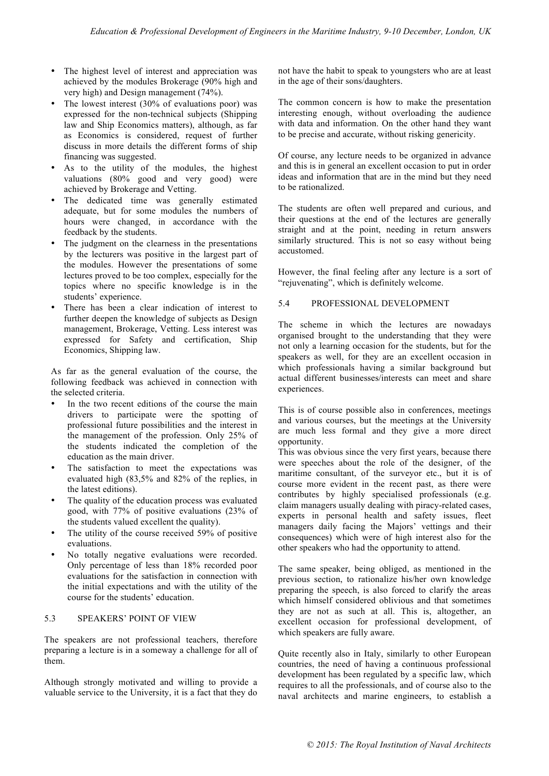- The highest level of interest and appreciation was achieved by the modules Brokerage (90% high and very high) and Design management (74%).
- The lowest interest (30% of evaluations poor) was expressed for the non-technical subjects (Shipping law and Ship Economics matters), although, as far as Economics is considered, request of further discuss in more details the different forms of ship financing was suggested.
- As to the utility of the modules, the highest valuations (80% good and very good) were achieved by Brokerage and Vetting.
- The dedicated time was generally estimated adequate, but for some modules the numbers of hours were changed, in accordance with the feedback by the students.
- The judgment on the clearness in the presentations by the lecturers was positive in the largest part of the modules. However the presentations of some lectures proved to be too complex, especially for the topics where no specific knowledge is in the students' experience.
- There has been a clear indication of interest to further deepen the knowledge of subjects as Design management, Brokerage, Vetting. Less interest was expressed for Safety and certification, Ship Economics, Shipping law.

As far as the general evaluation of the course, the following feedback was achieved in connection with the selected criteria.

- In the two recent editions of the course the main drivers to participate were the spotting of professional future possibilities and the interest in the management of the profession. Only 25% of the students indicated the completion of the education as the main driver.
- The satisfaction to meet the expectations was evaluated high (83,5% and 82% of the replies, in the latest editions).
- The quality of the education process was evaluated good, with 77% of positive evaluations (23% of the students valued excellent the quality).
- The utility of the course received 59% of positive evaluations.
- No totally negative evaluations were recorded. Only percentage of less than 18% recorded poor evaluations for the satisfaction in connection with the initial expectations and with the utility of the course for the students' education.

#### 5.3 SPEAKERS' POINT OF VIEW

The speakers are not professional teachers, therefore preparing a lecture is in a someway a challenge for all of them.

Although strongly motivated and willing to provide a valuable service to the University, it is a fact that they do

not have the habit to speak to youngsters who are at least in the age of their sons/daughters.

The common concern is how to make the presentation interesting enough, without overloading the audience with data and information. On the other hand they want to be precise and accurate, without risking genericity.

Of course, any lecture needs to be organized in advance and this is in general an excellent occasion to put in order ideas and information that are in the mind but they need to be rationalized.

The students are often well prepared and curious, and their questions at the end of the lectures are generally straight and at the point, needing in return answers similarly structured. This is not so easy without being accustomed.

However, the final feeling after any lecture is a sort of "rejuvenating", which is definitely welcome.

## 5.4 PROFESSIONAL DEVELOPMENT

The scheme in which the lectures are nowadays organised brought to the understanding that they were not only a learning occasion for the students, but for the speakers as well, for they are an excellent occasion in which professionals having a similar background but actual different businesses/interests can meet and share experiences.

This is of course possible also in conferences, meetings and various courses, but the meetings at the University are much less formal and they give a more direct opportunity.

This was obvious since the very first years, because there were speeches about the role of the designer, of the maritime consultant, of the surveyor etc., but it is of course more evident in the recent past, as there were contributes by highly specialised professionals (e.g. claim managers usually dealing with piracy-related cases, experts in personal health and safety issues, fleet managers daily facing the Majors' vettings and their consequences) which were of high interest also for the other speakers who had the opportunity to attend.

The same speaker, being obliged, as mentioned in the previous section, to rationalize his/her own knowledge preparing the speech, is also forced to clarify the areas which himself considered oblivious and that sometimes they are not as such at all. This is, altogether, an excellent occasion for professional development, of which speakers are fully aware.

Quite recently also in Italy, similarly to other European countries, the need of having a continuous professional development has been regulated by a specific law, which requires to all the professionals, and of course also to the naval architects and marine engineers, to establish a